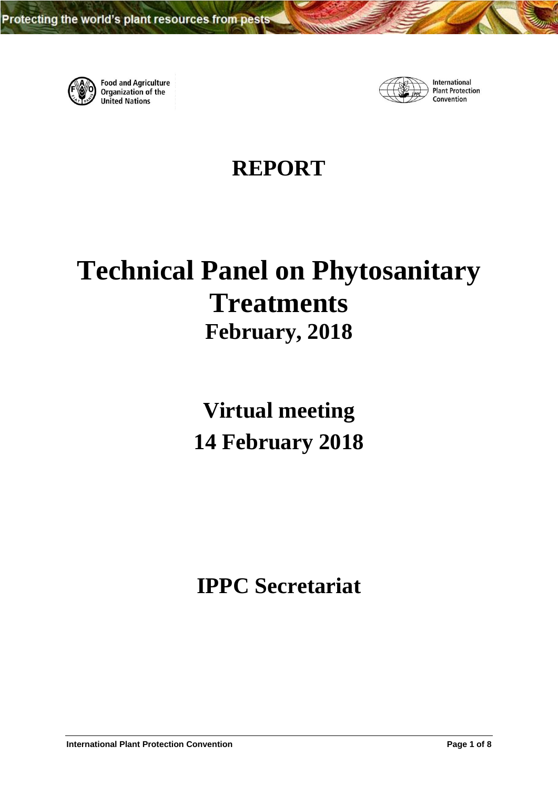

**Food and Agriculture**<br>Organization of the **United Nations** 



International **Plant Protection** Convention

# **REPORT**

# **Technical Panel on Phytosanitary Treatments February, 2018**

**Virtual meeting 14 February 2018**

**IPPC Secretariat**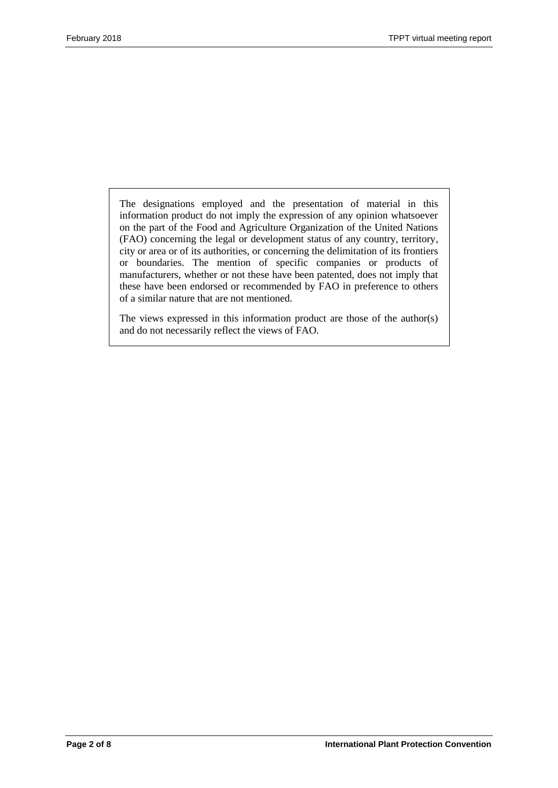The designations employed and the presentation of material in this information product do not imply the expression of any opinion whatsoever on the part of the Food and Agriculture Organization of the United Nations (FAO) concerning the legal or development status of any country, territory, city or area or of its authorities, or concerning the delimitation of its frontiers or boundaries. The mention of specific companies or products of manufacturers, whether or not these have been patented, does not imply that these have been endorsed or recommended by FAO in preference to others of a similar nature that are not mentioned.

The views expressed in this information product are those of the author(s) and do not necessarily reflect the views of FAO.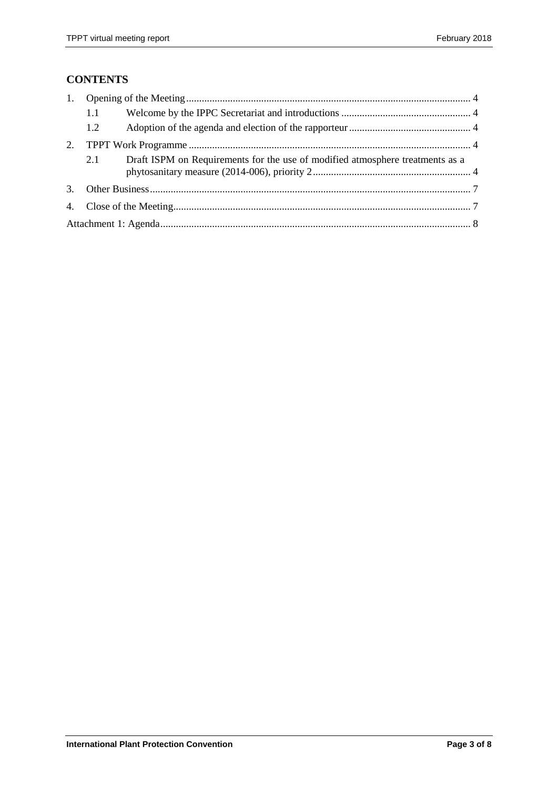# **CONTENTS**

|                | 1.1 |                                                                               |  |  |  |  |
|----------------|-----|-------------------------------------------------------------------------------|--|--|--|--|
|                | 1.2 |                                                                               |  |  |  |  |
| 2.             |     |                                                                               |  |  |  |  |
|                | 2.1 | Draft ISPM on Requirements for the use of modified atmosphere treatments as a |  |  |  |  |
| 3 <sub>1</sub> |     |                                                                               |  |  |  |  |
|                |     |                                                                               |  |  |  |  |
|                |     |                                                                               |  |  |  |  |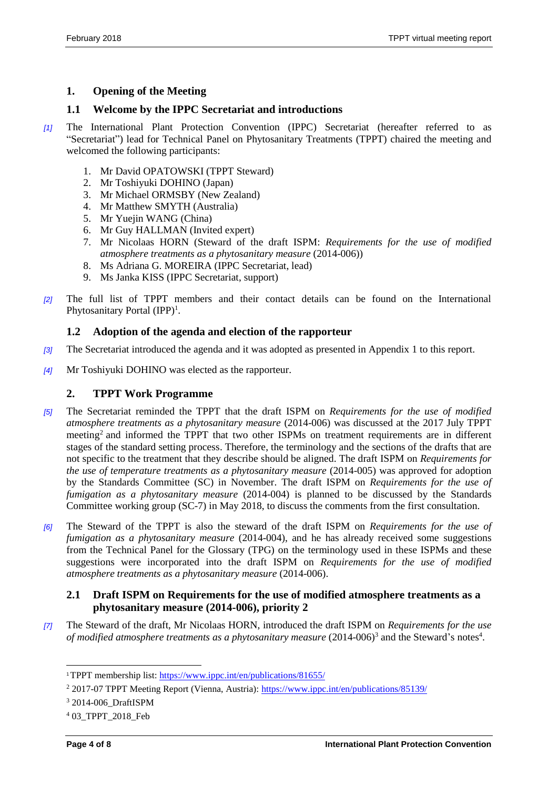# <span id="page-3-0"></span>**1. Opening of the Meeting**

### <span id="page-3-1"></span>**1.1 Welcome by the IPPC Secretariat and introductions**

- *[1]* The International Plant Protection Convention (IPPC) Secretariat (hereafter referred to as "Secretariat") lead for Technical Panel on Phytosanitary Treatments (TPPT) chaired the meeting and welcomed the following participants:
	- 1. Mr David OPATOWSKI (TPPT Steward)
	- 2. Mr Toshiyuki DOHINO (Japan)
	- 3. Mr Michael ORMSBY (New Zealand)
	- 4. Mr Matthew SMYTH (Australia)
	- 5. Mr Yuejin WANG (China)
	- 6. Mr Guy HALLMAN (Invited expert)
	- 7. Mr Nicolaas HORN (Steward of the draft ISPM: *Requirements for the use of modified atmosphere treatments as a phytosanitary measure* (2014-006))
	- 8. Ms Adriana G. MOREIRA (IPPC Secretariat, lead)
	- 9. Ms Janka KISS (IPPC Secretariat, support)
- *[2]* The full list of TPPT members and their contact details can be found on the International Phytosanitary Portal (IPP)<sup>1</sup>.

## <span id="page-3-2"></span>**1.2 Adoption of the agenda and election of the rapporteur**

- *[3]* The Secretariat introduced the agenda and it was adopted as presented in Appendix 1 to this report.
- *[4]* Mr Toshiyuki DOHINO was elected as the rapporteur.

#### <span id="page-3-3"></span>**2. TPPT Work Programme**

- *[5]* The Secretariat reminded the TPPT that the draft ISPM on *Requirements for the use of modified atmosphere treatments as a phytosanitary measure* (2014-006) was discussed at the 2017 July TPPT meeting<sup>2</sup> and informed the TPPT that two other ISPMs on treatment requirements are in different stages of the standard setting process. Therefore, the terminology and the sections of the drafts that are not specific to the treatment that they describe should be aligned. The draft ISPM on *Requirements for the use of temperature treatments as a phytosanitary measure* (2014-005) was approved for adoption by the Standards Committee (SC) in November. The draft ISPM on *Requirements for the use of fumigation as a phytosanitary measure* (2014-004) is planned to be discussed by the Standards Committee working group (SC-7) in May 2018, to discuss the comments from the first consultation.
- *[6]* The Steward of the TPPT is also the steward of the draft ISPM on *Requirements for the use of fumigation as a phytosanitary measure* (2014-004), and he has already received some suggestions from the Technical Panel for the Glossary (TPG) on the terminology used in these ISPMs and these suggestions were incorporated into the draft ISPM on *Requirements for the use of modified atmosphere treatments as a phytosanitary measure* (2014-006).

#### <span id="page-3-4"></span>**2.1 Draft ISPM on Requirements for the use of modified atmosphere treatments as a phytosanitary measure (2014-006), priority 2**

*[7]* The Steward of the draft, Mr Nicolaas HORN, introduced the draft ISPM on *Requirements for the use of modified atmosphere treatments as a phytosanitary measure*  $(2014-006)^3$  and the Steward's notes<sup>4</sup>.

 $\overline{a}$ 

<sup>1</sup>TPPT membership list:<https://www.ippc.int/en/publications/81655/>

<sup>2</sup> 2017-07 TPPT Meeting Report (Vienna, Austria):<https://www.ippc.int/en/publications/85139/>

<sup>3</sup> 2014-006\_DraftISPM

<sup>4</sup> 03\_TPPT\_2018\_Feb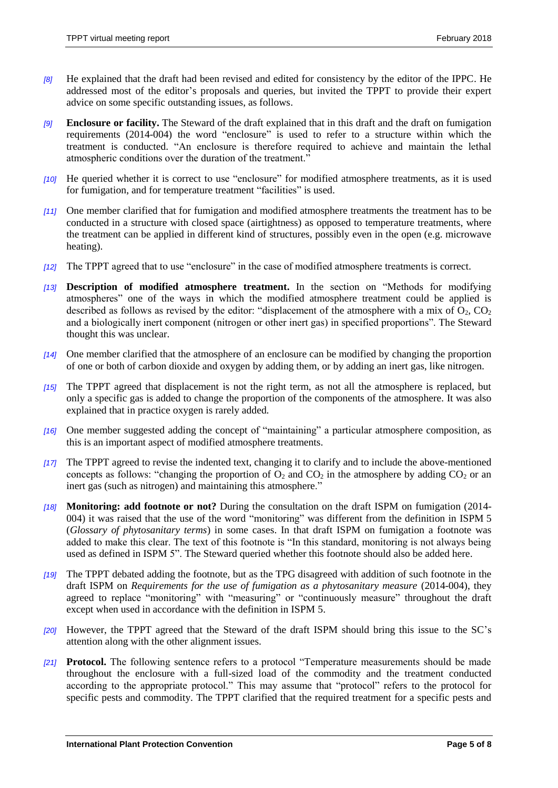- *[8]* He explained that the draft had been revised and edited for consistency by the editor of the IPPC. He addressed most of the editor's proposals and queries, but invited the TPPT to provide their expert advice on some specific outstanding issues, as follows.
- *[9]* **Enclosure or facility.** The Steward of the draft explained that in this draft and the draft on fumigation requirements (2014-004) the word "enclosure" is used to refer to a structure within which the treatment is conducted. "An enclosure is therefore required to achieve and maintain the lethal atmospheric conditions over the duration of the treatment."
- *[10]* He queried whether it is correct to use "enclosure" for modified atmosphere treatments, as it is used for fumigation, and for temperature treatment "facilities" is used.
- *[11]* One member clarified that for fumigation and modified atmosphere treatments the treatment has to be conducted in a structure with closed space (airtightness) as opposed to temperature treatments, where the treatment can be applied in different kind of structures, possibly even in the open (e.g. microwave heating).
- *[12]* The TPPT agreed that to use "enclosure" in the case of modified atmosphere treatments is correct.
- *[13]* **Description of modified atmosphere treatment.** In the section on "Methods for modifying atmospheres" one of the ways in which the modified atmosphere treatment could be applied is described as follows as revised by the editor: "displacement of the atmosphere with a mix of  $O_2$ ,  $CO_2$ and a biologically inert component (nitrogen or other inert gas) in specified proportions". The Steward thought this was unclear.
- *[14]* One member clarified that the atmosphere of an enclosure can be modified by changing the proportion of one or both of carbon dioxide and oxygen by adding them, or by adding an inert gas, like nitrogen.
- *[15]* The TPPT agreed that displacement is not the right term, as not all the atmosphere is replaced, but only a specific gas is added to change the proportion of the components of the atmosphere. It was also explained that in practice oxygen is rarely added.
- *[16]* One member suggested adding the concept of "maintaining" a particular atmosphere composition, as this is an important aspect of modified atmosphere treatments.
- *[17]* The TPPT agreed to revise the indented text, changing it to clarify and to include the above-mentioned concepts as follows: "changing the proportion of  $O_2$  and  $CO_2$  in the atmosphere by adding  $CO_2$  or an inert gas (such as nitrogen) and maintaining this atmosphere."
- *[18]* **Monitoring: add footnote or not?** During the consultation on the draft ISPM on fumigation (2014- 004) it was raised that the use of the word "monitoring" was different from the definition in ISPM 5 (*Glossary of phytosanitary terms*) in some cases. In that draft ISPM on fumigation a footnote was added to make this clear. The text of this footnote is "In this standard, monitoring is not always being used as defined in ISPM 5". The Steward queried whether this footnote should also be added here.
- *[19]* The TPPT debated adding the footnote, but as the TPG disagreed with addition of such footnote in the draft ISPM on *Requirements for the use of fumigation as a phytosanitary measure* (2014-004), they agreed to replace "monitoring" with "measuring" or "continuously measure" throughout the draft except when used in accordance with the definition in ISPM 5.
- *[20]* However, the TPPT agreed that the Steward of the draft ISPM should bring this issue to the SC's attention along with the other alignment issues.
- *[21]* **Protocol.** The following sentence refers to a protocol "Temperature measurements should be made throughout the enclosure with a full-sized load of the commodity and the treatment conducted according to the appropriate protocol." This may assume that "protocol" refers to the protocol for specific pests and commodity. The TPPT clarified that the required treatment for a specific pests and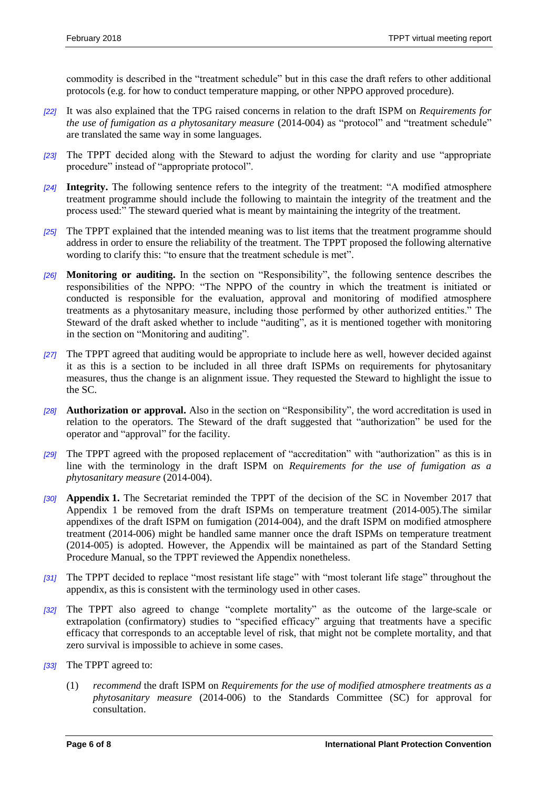commodity is described in the "treatment schedule" but in this case the draft refers to other additional protocols (e.g. for how to conduct temperature mapping, or other NPPO approved procedure).

- *[22]* It was also explained that the TPG raised concerns in relation to the draft ISPM on *Requirements for the use of fumigation as a phytosanitary measure* (2014-004) as "protocol" and "treatment schedule" are translated the same way in some languages.
- *[23]* The TPPT decided along with the Steward to adjust the wording for clarity and use "appropriate procedure" instead of "appropriate protocol".
- *[24]* **Integrity.** The following sentence refers to the integrity of the treatment: "A modified atmosphere treatment programme should include the following to maintain the integrity of the treatment and the process used:" The steward queried what is meant by maintaining the integrity of the treatment.
- *[25]* The TPPT explained that the intended meaning was to list items that the treatment programme should address in order to ensure the reliability of the treatment. The TPPT proposed the following alternative wording to clarify this: "to ensure that the treatment schedule is met".
- *[26]* **Monitoring or auditing.** In the section on "Responsibility", the following sentence describes the responsibilities of the NPPO: "The NPPO of the country in which the treatment is initiated or conducted is responsible for the evaluation, approval and monitoring of modified atmosphere treatments as a phytosanitary measure, including those performed by other authorized entities." The Steward of the draft asked whether to include "auditing", as it is mentioned together with monitoring in the section on "Monitoring and auditing".
- *[27]* The TPPT agreed that auditing would be appropriate to include here as well, however decided against it as this is a section to be included in all three draft ISPMs on requirements for phytosanitary measures, thus the change is an alignment issue. They requested the Steward to highlight the issue to the SC.
- *[28]* **Authorization or approval.** Also in the section on "Responsibility", the word accreditation is used in relation to the operators. The Steward of the draft suggested that "authorization" be used for the operator and "approval" for the facility.
- *[29]* The TPPT agreed with the proposed replacement of "accreditation" with "authorization" as this is in line with the terminology in the draft ISPM on *Requirements for the use of fumigation as a phytosanitary measure* (2014-004).
- *[30]* **Appendix 1.** The Secretariat reminded the TPPT of the decision of the SC in November 2017 that Appendix 1 be removed from the draft ISPMs on temperature treatment (2014-005).The similar appendixes of the draft ISPM on fumigation (2014-004), and the draft ISPM on modified atmosphere treatment (2014-006) might be handled same manner once the draft ISPMs on temperature treatment (2014-005) is adopted. However, the Appendix will be maintained as part of the Standard Setting Procedure Manual, so the TPPT reviewed the Appendix nonetheless.
- *[31]* The TPPT decided to replace "most resistant life stage" with "most tolerant life stage" throughout the appendix, as this is consistent with the terminology used in other cases.
- *[32]* The TPPT also agreed to change "complete mortality" as the outcome of the large-scale or extrapolation (confirmatory) studies to "specified efficacy" arguing that treatments have a specific efficacy that corresponds to an acceptable level of risk, that might not be complete mortality, and that zero survival is impossible to achieve in some cases.
- *[33]* The TPPT agreed to:
	- (1) *recommend* the draft ISPM on *Requirements for the use of modified atmosphere treatments as a phytosanitary measure* (2014-006) to the Standards Committee (SC) for approval for consultation.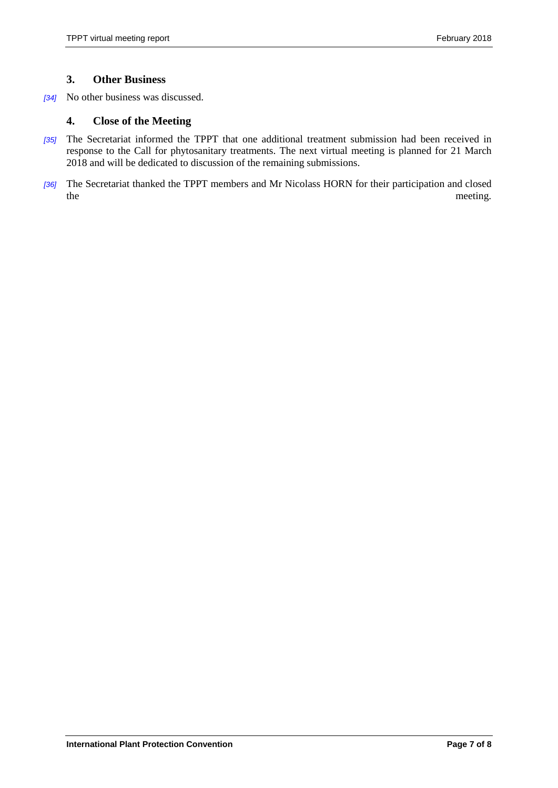#### <span id="page-6-0"></span>**3. Other Business**

*[34]* No other business was discussed.

#### <span id="page-6-1"></span>**4. Close of the Meeting**

- *[35]* The Secretariat informed the TPPT that one additional treatment submission had been received in response to the Call for phytosanitary treatments. The next virtual meeting is planned for 21 March 2018 and will be dedicated to discussion of the remaining submissions.
- *[36]* The Secretariat thanked the TPPT members and Mr Nicolass HORN for their participation and closed the meeting.